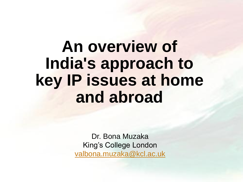# **An overview of India's approach to key IP issues at home and abroad**

Dr. Bona Muzaka King's College London [valbona.muzaka@kcl.ac.uk](mailto:Valbona.muzaka@kcl.ac.uk)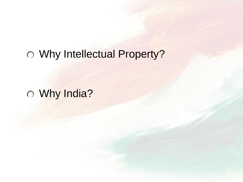### Why Intellectual Property?

Why India?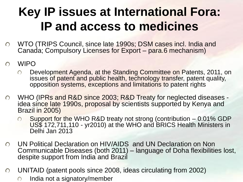## **Key IP issues at International Fora: IP and access to medicines**

- WTO (TRIPS Council, since late 1990s; DSM cases incl. India and  $\bigcap$ Canada; Compulsory Licenses for Export – para.6 mechanism)
- WIPO  $\bigcap$ 
	- Development Agenda, at the Standing Committee on Patents, 2011, on  $\bigcap$ issues of patent and public health, technology transfer, patent quality, opposition systems, exceptions and limitations to patent rights
- WHO (IPRs and R&D since 2003; R&D Treaty for neglected diseases  $\bigcap$ idea since late 1990s, proposal by scientists supported by Kenya and Brazil in 2005)
	- Support for the WHO R&D treaty not strong (contribution 0.01% GDP  $\bigcap$ US\$ 172,711,110 - yr2010) at the WHO and BRICS Health Ministers in Delhi Jan 2013
- UN Political Declaration on HIV/AIDS and UN Declaration on Non  $\bigcirc$ Communicable Diseases (both 2011) – language of Doha flexibilities lost, despite support from India and Brazil
- UNITAID (patent pools since 2008, ideas circulating from 2002)  $\bigcap$ 
	- India not a signatory/member $\bigcirc$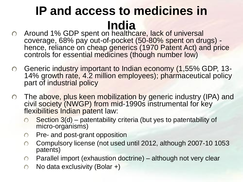## **IP and access to medicines in India**

- Around 1% GDP spent on healthcare, lack of universal coverage, 68% pay out-of-pocket (50-80% spent on drugs) hence, reliance on cheap generics (1970 Patent Act) and price controls for essential medicines (though number low)
- Generic industry important to Indian economy (1,55% GDP, 13-  $\bigcirc$ 14% growth rate, 4.2 million employees); pharmaceutical policy part of industrial policy
- The above, plus keen mobilization by generic industry (IPA) and civil society (NWGP) from mid-1990s instrumental for key flexibilities Indian patent law:
	- Section 3(d) patentability criteria (but yes to patentability of  $\bigcirc$ micro-organisms)
	- Pre- and post-grant opposition  $\bigcirc$
	- Compulsory license (not used until 2012, although 2007-10 1053  $\bigcap$ patents)
	- Parallel import (exhaustion doctrine) although not very clear  $\bigcirc$
	- No data exclusivity (Bolar +) $\bigcap$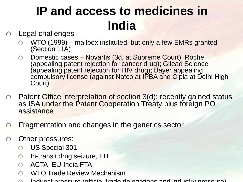## **IP and access to medicines in India**

#### Legal challenges  $\bigcap$

- WTO (1999) mailbox instituted, but only a few EMRs granted (Section 11A)
- Domestic cases Novartis (3d, at Supreme Court); Roche  $\bigcirc$ (appealing patent rejection for cancer drug); Gilead Science appealing patent rejection for HIV drug); Bayer appealing compulsory license (against Natco at IPBA and Cipla at Delhi High Court)
- $\circ$  Patent Office interpretation of section 3(d); recently gained status as ISA under the Patent Cooperation Treaty plus foreign PO assistance
- Fragmentation and changes in the generics sector  $\bigcirc$

#### Other pressures:  $\bigcirc$

- US Special 301  $\bigcirc$
- In-transit drug seizure, EU  $\bigcirc$
- ACTA, EU-India FTA  $\bigcap$
- WTO Trade Review Mechanism  $\bigcap$
- Indirect pressure (official trade delegations and industry pressure)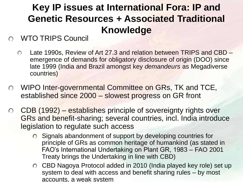### **Key IP issues at International Fora: IP and Genetic Resources + Associated Traditional Knowledge**

#### WTO TRIPS Council

- $\bigcap$ Late 1990s, Review of Art 27.3 and relation between TRIPS and CBD – emergence of demands for obligatory disclosure of origin (DOO) since late 1999 (India and Brazil amongst key *demandeurs* as Megadiverse countries)
- WIPO Inter-governmental Committee on GRs, TK and TCE,  $\bigcirc$ established since 2000 – slowest progress on GR front
- CDB (1992) establishes principle of sovereignty rights over  $\bigcirc$ GRs and benefit-sharing; several countries, incl. India introduce legislation to regulate such access
	- Signals abandonment of support by developing countries for principle of GRs as common heritage of humankind (as stated in FAO's International Undertaking on Plant GR, 1983 – FAO 2001 Treaty brings the Undertaking in line with CBD)
	- CBD Nagoya Protocol added in 2010 (India played key role) set up system to deal with access and benefit sharing rules – by most accounts, a weak system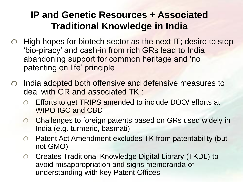#### **IP and Genetic Resources + Associated Traditional Knowledge in India**

- $\circ$  High hopes for biotech sector as the next IT; desire to stop 'bio-piracy' and cash-in from rich GRs lead to India abandoning support for common heritage and 'no patenting on life' principle
- India adopted both offensive and defensive measures to  $\bigcirc$ deal with GR and associated TK :
	- Efforts to get TRIPS amended to include DOO/ efforts at WIPO IGC and CBD
	- Challenges to foreign patents based on GRs used widely in  $\bigcirc$ India (e.g. turmeric, basmati)
	- Patent Act Amendment excludes TK from patentability (but  $\bigcap$ not GMO)
	- Creates Traditional Knowledge Digital Library (TKDL) to  $\overline{O}$ avoid misappropriation and signs memoranda of understanding with key Patent Offices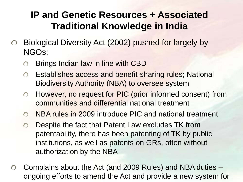#### **IP and Genetic Resources + Associated Traditional Knowledge in India**

- Biological Diversity Act (2002) pushed for largely by  $\bigcirc$ NGOs:
	- Brings Indian law in line with CBD  $\bigcirc$
	- Establishes access and benefit-sharing rules; National  $\bigcirc$ Biodiversity Authority (NBA) to oversee system
	- However, no request for PIC (prior informed consent) from  $\bigcirc$ communities and differential national treatment
	- NBA rules in 2009 introduce PIC and national treatment  $\bigcap$
	- Despite the fact that Patent Law excludes TK from  $\bigcirc$ patentability, there has been patenting of TK by public institutions, as well as patents on GRs, often without authorization by the NBA
- Complains about the Act (and 2009 Rules) and NBA duties  $\bigcirc$ ongoing efforts to amend the Act and provide a new system for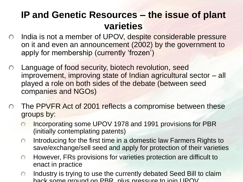#### **IP and Genetic Resources – the issue of plant varieties**

- o India is not a member of UPOV, despite considerable pressure on it and even an announcement (2002) by the government to apply for membership (currently 'frozen')
- Language of food security, biotech revolution, seed  $\bigcirc$ improvement, improving state of Indian agricultural sector – all played a role on both sides of the debate (between seed companies and NGOs)
- The PPVFR Act of 2001 reflects a compromise between these groups by:
	- Incorporating some UPOV 1978 and 1991 provisions for PBR  $\bigcirc$ (initially contemplating patents)
	- Introducing for the first time in a domestic law Farmers Rights to  $\bigcirc$ save/exchange/sell seed and apply for protection of their varieties
	- However, FRs provisions for varieties protection are difficult to  $\bigcap$ enact in practice
	- Industry is trying to use the currently debated Seed Bill to claim  $\bigcirc$ back some ground on PRR, plus pressure to join UPOV